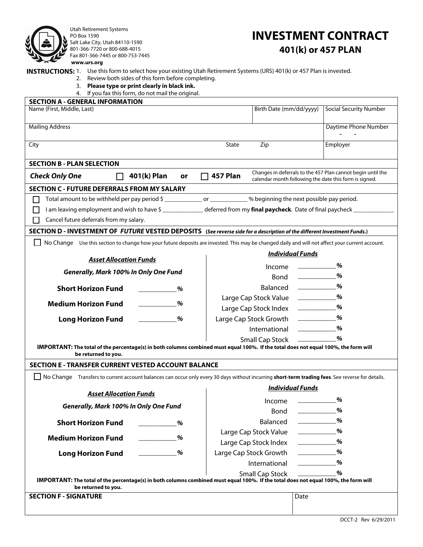

Utah Retirement Systems PO Box 1590 Salt Lake City, Utah 84110-1590 801-366-7720 or 800-688-4015 Fax 801-366-7445 or 800-753-7445 **www.urs.org**

# **INVESTMENT CONTRACT 401(k) or 457 PLAN**

**INSTRUCTIONS:** 1. Use this form to select how your existing Utah Retirement Systems (URS) 401(k) or 457 Plan is invested.

- 2. Review both sides of this form before completing.
- 3. **Please type or print clearly in black ink.**
- 4. If you fax this form, do not mail the original.

| <b>SECTION A - GENERAL INFORMATION</b>                                                                                                                     |                                    |                                                                                                                                                                                                                                                                                                                                                                                                                                                                                                                                                             |  |  |  |  |  |  |  |
|------------------------------------------------------------------------------------------------------------------------------------------------------------|------------------------------------|-------------------------------------------------------------------------------------------------------------------------------------------------------------------------------------------------------------------------------------------------------------------------------------------------------------------------------------------------------------------------------------------------------------------------------------------------------------------------------------------------------------------------------------------------------------|--|--|--|--|--|--|--|
| Name (First, Middle, Last)                                                                                                                                 | Birth Date (mm/dd/yyyy)            | Social Security Number                                                                                                                                                                                                                                                                                                                                                                                                                                                                                                                                      |  |  |  |  |  |  |  |
|                                                                                                                                                            |                                    |                                                                                                                                                                                                                                                                                                                                                                                                                                                                                                                                                             |  |  |  |  |  |  |  |
| <b>Mailing Address</b>                                                                                                                                     |                                    | Daytime Phone Number                                                                                                                                                                                                                                                                                                                                                                                                                                                                                                                                        |  |  |  |  |  |  |  |
| City                                                                                                                                                       | State<br>Zip                       | Employer                                                                                                                                                                                                                                                                                                                                                                                                                                                                                                                                                    |  |  |  |  |  |  |  |
|                                                                                                                                                            |                                    |                                                                                                                                                                                                                                                                                                                                                                                                                                                                                                                                                             |  |  |  |  |  |  |  |
| <b>SECTION B - PLAN SELECTION</b>                                                                                                                          |                                    |                                                                                                                                                                                                                                                                                                                                                                                                                                                                                                                                                             |  |  |  |  |  |  |  |
| <b>Check Only One</b><br>401(k) Plan<br>$\Box$<br>or                                                                                                       | $\Box$ 457 Plan                    | Changes in deferrals to the 457 Plan cannot begin until the<br>calendar month following the date this form is signed.                                                                                                                                                                                                                                                                                                                                                                                                                                       |  |  |  |  |  |  |  |
| <b>SECTION C - FUTURE DEFERRALS FROM MY SALARY</b>                                                                                                         |                                    |                                                                                                                                                                                                                                                                                                                                                                                                                                                                                                                                                             |  |  |  |  |  |  |  |
| Total amount to be withheld per pay period \$ ________________ or _____________ % beginning the next possible pay period.<br>M.                            |                                    |                                                                                                                                                                                                                                                                                                                                                                                                                                                                                                                                                             |  |  |  |  |  |  |  |
| I am leaving employment and wish to have \$<br>10.1220 deferred from my final paycheck. Date of final paycheck<br>L                                        |                                    |                                                                                                                                                                                                                                                                                                                                                                                                                                                                                                                                                             |  |  |  |  |  |  |  |
| Cancel future deferrals from my salary.                                                                                                                    |                                    |                                                                                                                                                                                                                                                                                                                                                                                                                                                                                                                                                             |  |  |  |  |  |  |  |
| SECTION D - INVESTMENT OF FUTURE VESTED DEPOSITS (See reverse side for a description of the different Investment Funds.)                                   |                                    |                                                                                                                                                                                                                                                                                                                                                                                                                                                                                                                                                             |  |  |  |  |  |  |  |
| No Change Use this section to change how your future deposits are invested. This may be changed daily and will not affect your current account.            |                                    |                                                                                                                                                                                                                                                                                                                                                                                                                                                                                                                                                             |  |  |  |  |  |  |  |
|                                                                                                                                                            | <b>Individual Funds</b>            |                                                                                                                                                                                                                                                                                                                                                                                                                                                                                                                                                             |  |  |  |  |  |  |  |
| <b>Asset Allocation Funds</b>                                                                                                                              | Income                             | %                                                                                                                                                                                                                                                                                                                                                                                                                                                                                                                                                           |  |  |  |  |  |  |  |
| Generally, Mark 100% In Only One Fund                                                                                                                      |                                    | %                                                                                                                                                                                                                                                                                                                                                                                                                                                                                                                                                           |  |  |  |  |  |  |  |
| <b>Short Horizon Fund</b><br>%                                                                                                                             | Balanced <u>_________</u>          | %                                                                                                                                                                                                                                                                                                                                                                                                                                                                                                                                                           |  |  |  |  |  |  |  |
|                                                                                                                                                            | Large Cap Stock Value ____________ | %                                                                                                                                                                                                                                                                                                                                                                                                                                                                                                                                                           |  |  |  |  |  |  |  |
| <b>Medium Horizon Fund</b><br>%                                                                                                                            | Large Cap Stock Index ____________ | %                                                                                                                                                                                                                                                                                                                                                                                                                                                                                                                                                           |  |  |  |  |  |  |  |
| %<br><b>Long Horizon Fund</b>                                                                                                                              | Large Cap Stock Growth ___________ | %                                                                                                                                                                                                                                                                                                                                                                                                                                                                                                                                                           |  |  |  |  |  |  |  |
|                                                                                                                                                            |                                    | %                                                                                                                                                                                                                                                                                                                                                                                                                                                                                                                                                           |  |  |  |  |  |  |  |
|                                                                                                                                                            |                                    | %                                                                                                                                                                                                                                                                                                                                                                                                                                                                                                                                                           |  |  |  |  |  |  |  |
| IMPORTANT: The total of the percentage(s) in both columns combined must equal 100%. If the total does not equal 100%, the form will                        |                                    |                                                                                                                                                                                                                                                                                                                                                                                                                                                                                                                                                             |  |  |  |  |  |  |  |
| be returned to you.                                                                                                                                        |                                    |                                                                                                                                                                                                                                                                                                                                                                                                                                                                                                                                                             |  |  |  |  |  |  |  |
| <b>SECTION E - TRANSFER CURRENT VESTED ACCOUNT BALANCE</b>                                                                                                 |                                    |                                                                                                                                                                                                                                                                                                                                                                                                                                                                                                                                                             |  |  |  |  |  |  |  |
| No Change Transfers to current account balances can occur only every 30 days without incurring <b>short-term trading fees</b> . See reverse for details.   |                                    |                                                                                                                                                                                                                                                                                                                                                                                                                                                                                                                                                             |  |  |  |  |  |  |  |
| <b>Asset Allocation Funds</b>                                                                                                                              | <b>Individual Funds</b>            |                                                                                                                                                                                                                                                                                                                                                                                                                                                                                                                                                             |  |  |  |  |  |  |  |
|                                                                                                                                                            | Income                             | %                                                                                                                                                                                                                                                                                                                                                                                                                                                                                                                                                           |  |  |  |  |  |  |  |
| Generally, Mark 100% In Only One Fund                                                                                                                      | Bond                               | %                                                                                                                                                                                                                                                                                                                                                                                                                                                                                                                                                           |  |  |  |  |  |  |  |
| <b>Short Horizon Fund</b><br>%                                                                                                                             | Balanced                           | %<br>$\begin{array}{c} \begin{array}{c} \begin{array}{c} \begin{array}{c} \end{array} \\ \end{array} \end{array} \end{array} \end{array} \end{array} \end{array} \begin{array}{c} \begin{array}{c} \begin{array}{c} \end{array} \\ \end{array} \end{array} \begin{array}{c} \begin{array}{c} \end{array} \end{array} \end{array} \end{array} \begin{array}{c} \begin{array}{c} \begin{array}{c} \end{array} \\ \end{array} \end{array} \end{array} \begin{array}{c} \begin{array}{c} \begin{array}{c} \end{array} \end{array} \end{array} \begin{array}{c}$ |  |  |  |  |  |  |  |
|                                                                                                                                                            | Large Cap Stock Value              | %                                                                                                                                                                                                                                                                                                                                                                                                                                                                                                                                                           |  |  |  |  |  |  |  |
| <b>Medium Horizon Fund</b><br>%                                                                                                                            | Large Cap Stock Index              | %<br>$\begin{array}{ccccccccccccc} \multicolumn{2}{c }{\textbf{1} & \textbf{2} & \textbf{3} & \textbf{4} & \textbf{5} & \textbf{5} & \textbf{6} & \textbf{7} & \textbf{8} & \textbf{9} & \textbf{10} & \textbf{10} & \textbf{10} & \textbf{10} & \textbf{10} & \textbf{10} & \textbf{10} & \textbf{10} & \textbf{10} & \textbf{10} & \textbf{10} & \textbf{10} & \textbf{10} & \textbf{10} & \textbf{10} & \textbf{10} & \text$                                                                                                                             |  |  |  |  |  |  |  |
| %<br><b>Long Horizon Fund</b>                                                                                                                              | Large Cap Stock Growth             | %                                                                                                                                                                                                                                                                                                                                                                                                                                                                                                                                                           |  |  |  |  |  |  |  |
|                                                                                                                                                            | International                      | %                                                                                                                                                                                                                                                                                                                                                                                                                                                                                                                                                           |  |  |  |  |  |  |  |
|                                                                                                                                                            | <b>Small Cap Stock</b>             | %                                                                                                                                                                                                                                                                                                                                                                                                                                                                                                                                                           |  |  |  |  |  |  |  |
| IMPORTANT: The total of the percentage(s) in both columns combined must equal 100%. If the total does not equal 100%, the form will<br>be returned to you. |                                    |                                                                                                                                                                                                                                                                                                                                                                                                                                                                                                                                                             |  |  |  |  |  |  |  |
| <b>SECTION F - SIGNATURE</b>                                                                                                                               |                                    | Date                                                                                                                                                                                                                                                                                                                                                                                                                                                                                                                                                        |  |  |  |  |  |  |  |
|                                                                                                                                                            |                                    |                                                                                                                                                                                                                                                                                                                                                                                                                                                                                                                                                             |  |  |  |  |  |  |  |
|                                                                                                                                                            |                                    |                                                                                                                                                                                                                                                                                                                                                                                                                                                                                                                                                             |  |  |  |  |  |  |  |